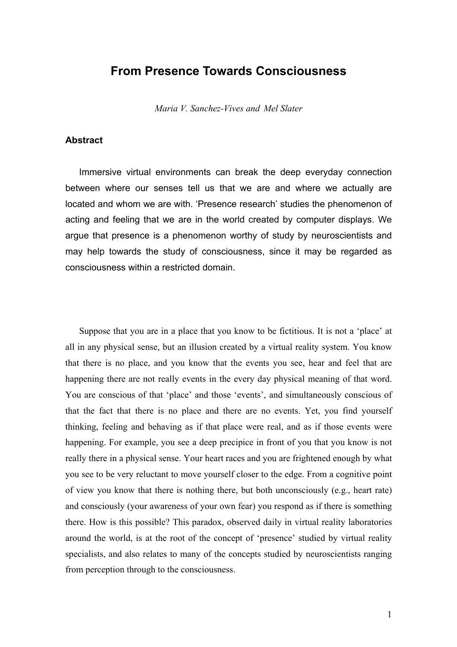# **From Presence Towards Consciousness**

*Maria V. Sanchez-Vives and Mel Slater* 

# **Abstract**

Immersive virtual environments can break the deep everyday connection between where our senses tell us that we are and where we actually are located and whom we are with. 'Presence research' studies the phenomenon of acting and feeling that we are in the world created by computer displays. We argue that presence is a phenomenon worthy of study by neuroscientists and may help towards the study of consciousness, since it may be regarded as consciousness within a restricted domain.

Suppose that you are in a place that you know to be fictitious. It is not a 'place' at all in any physical sense, but an illusion created by a virtual reality system. You know that there is no place, and you know that the events you see, hear and feel that are happening there are not really events in the every day physical meaning of that word. You are conscious of that 'place' and those 'events', and simultaneously conscious of that the fact that there is no place and there are no events. Yet, you find yourself thinking, feeling and behaving as if that place were real, and as if those events were happening. For example, you see a deep precipice in front of you that you know is not really there in a physical sense. Your heart races and you are frightened enough by what you see to be very reluctant to move yourself closer to the edge. From a cognitive point of view you know that there is nothing there, but both unconsciously (e.g., heart rate) and consciously (your awareness of your own fear) you respond as if there is something there. How is this possible? This paradox, observed daily in virtual reality laboratories around the world, is at the root of the concept of 'presence' studied by virtual reality specialists, and also relates to many of the concepts studied by neuroscientists ranging from perception through to the consciousness.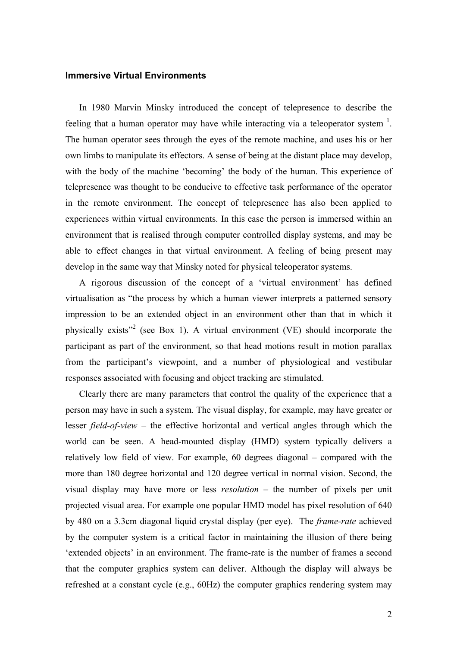### **Immersive Virtual Environments**

In 1980 Marvin Minsky introduced the concept of telepresence to describe the feeling that a human operator may have while interacting via a teleoperator system  $<sup>1</sup>$ .</sup> The human operator sees through the eyes of the remote machine, and uses his or her own limbs to manipulate its effectors. A sense of being at the distant place may develop, with the body of the machine 'becoming' the body of the human. This experience of telepresence was thought to be conducive to effective task performance of the operator in the remote environment. The concept of telepresence has also been applied to experiences within virtual environments. In this case the person is immersed within an environment that is realised through computer controlled display systems, and may be able to effect changes in that virtual environment. A feeling of being present may develop in the same way that Minsky noted for physical teleoperator systems.

A rigorous discussion of the concept of a 'virtual environment' has defined virtualisation as "the process by which a human viewer interprets a patterned sensory impression to be an extended object in an environment other than that in which it physically exists"<sup>2</sup> (see Box 1). A virtual environment (VE) should incorporate the participant as part of the environment, so that head motions result in motion parallax from the participant's viewpoint, and a number of physiological and vestibular responses associated with focusing and object tracking are stimulated.

Clearly there are many parameters that control the quality of the experience that a person may have in such a system. The visual display, for example, may have greater or lesser *field-of-view* – the effective horizontal and vertical angles through which the world can be seen. A head-mounted display (HMD) system typically delivers a relatively low field of view. For example, 60 degrees diagonal – compared with the more than 180 degree horizontal and 120 degree vertical in normal vision. Second, the visual display may have more or less *resolution* – the number of pixels per unit projected visual area. For example one popular HMD model has pixel resolution of 640 by 480 on a 3.3cm diagonal liquid crystal display (per eye). The *frame-rate* achieved by the computer system is a critical factor in maintaining the illusion of there being 'extended objects' in an environment. The frame-rate is the number of frames a second that the computer graphics system can deliver. Although the display will always be refreshed at a constant cycle (e.g., 60Hz) the computer graphics rendering system may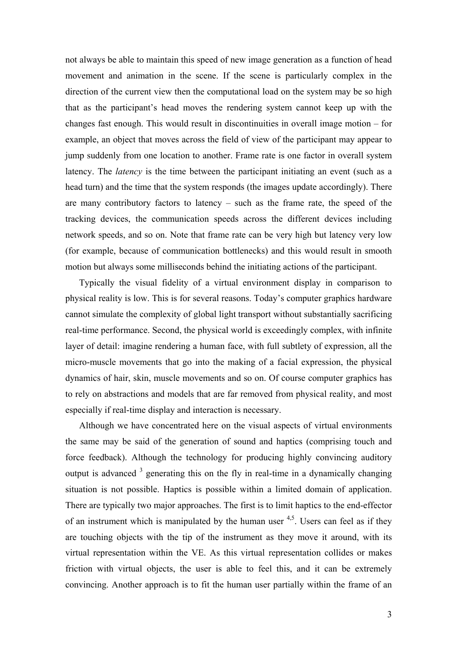not always be able to maintain this speed of new image generation as a function of head movement and animation in the scene. If the scene is particularly complex in the direction of the current view then the computational load on the system may be so high that as the participant's head moves the rendering system cannot keep up with the changes fast enough. This would result in discontinuities in overall image motion – for example, an object that moves across the field of view of the participant may appear to jump suddenly from one location to another. Frame rate is one factor in overall system latency. The *latency* is the time between the participant initiating an event (such as a head turn) and the time that the system responds (the images update accordingly). There are many contributory factors to latency – such as the frame rate, the speed of the tracking devices, the communication speeds across the different devices including network speeds, and so on. Note that frame rate can be very high but latency very low (for example, because of communication bottlenecks) and this would result in smooth motion but always some milliseconds behind the initiating actions of the participant.

Typically the visual fidelity of a virtual environment display in comparison to physical reality is low. This is for several reasons. Today's computer graphics hardware cannot simulate the complexity of global light transport without substantially sacrificing real-time performance. Second, the physical world is exceedingly complex, with infinite layer of detail: imagine rendering a human face, with full subtlety of expression, all the micro-muscle movements that go into the making of a facial expression, the physical dynamics of hair, skin, muscle movements and so on. Of course computer graphics has to rely on abstractions and models that are far removed from physical reality, and most especially if real-time display and interaction is necessary.

Although we have concentrated here on the visual aspects of virtual environments the same may be said of the generation of sound and haptics (comprising touch and force feedback). Although the technology for producing highly convincing auditory output is advanced  $3$  generating this on the fly in real-time in a dynamically changing situation is not possible. Haptics is possible within a limited domain of application. There are typically two major approaches. The first is to limit haptics to the end-effector of an instrument which is manipulated by the human user  $4.5$ . Users can feel as if they are touching objects with the tip of the instrument as they move it around, with its virtual representation within the VE. As this virtual representation collides or makes friction with virtual objects, the user is able to feel this, and it can be extremely convincing. Another approach is to fit the human user partially within the frame of an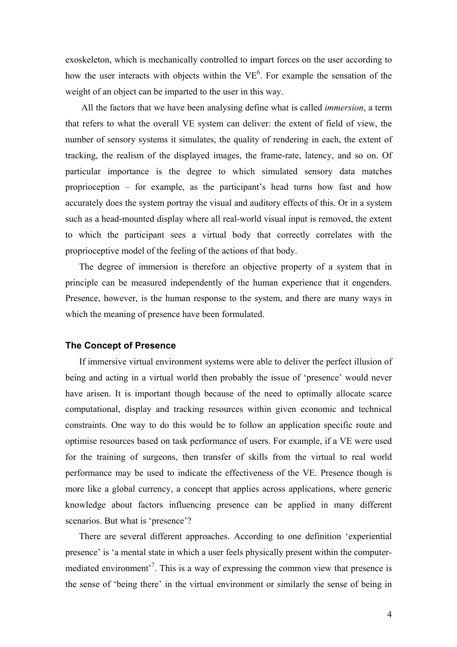exoskeleton, which is mechanically controlled to impart forces on the user according to how the user interacts with objects within the  $VE<sup>6</sup>$ . For example the sensation of the weight of an object can be imparted to the user in this way.

 All the factors that we have been analysing define what is called *immersion*, a term that refers to what the overall VE system can deliver: the extent of field of view, the number of sensory systems it simulates, the quality of rendering in each, the extent of tracking, the realism of the displayed images, the frame-rate, latency, and so on. Of particular importance is the degree to which simulated sensory data matches proprioception – for example, as the participant's head turns how fast and how accurately does the system portray the visual and auditory effects of this. Or in a system such as a head-mounted display where all real-world visual input is removed, the extent to which the participant sees a virtual body that correctly correlates with the proprioceptive model of the feeling of the actions of that body.

The degree of immersion is therefore an objective property of a system that in principle can be measured independently of the human experience that it engenders. Presence, however, is the human response to the system, and there are many ways in which the meaning of presence have been formulated.

#### **The Concept of Presence**

If immersive virtual environment systems were able to deliver the perfect illusion of being and acting in a virtual world then probably the issue of 'presence' would never have arisen. It is important though because of the need to optimally allocate scarce computational, display and tracking resources within given economic and technical constraints. One way to do this would be to follow an application specific route and optimise resources based on task performance of users. For example, if a VE were used for the training of surgeons, then transfer of skills from the virtual to real world performance may be used to indicate the effectiveness of the VE. Presence though is more like a global currency, a concept that applies across applications, where generic knowledge about factors influencing presence can be applied in many different scenarios. But what is 'presence'?

There are several different approaches. According to one definition 'experiential presence' is 'a mental state in which a user feels physically present within the computermediated environment<sup>3</sup>. This is a way of expressing the common view that presence is the sense of 'being there' in the virtual environment or similarly the sense of being in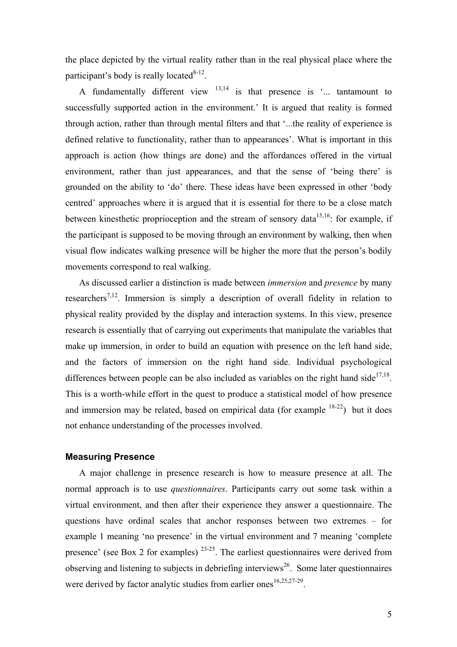the place depicted by the virtual reality rather than in the real physical place where the participant's body is really located $8-12$ .

A fundamentally different view  $13,14$  is that presence is '... tantamount to successfully supported action in the environment.' It is argued that reality is formed through action, rather than through mental filters and that '...the reality of experience is defined relative to functionality, rather than to appearances'. What is important in this approach is action (how things are done) and the affordances offered in the virtual environment, rather than just appearances, and that the sense of 'being there' is grounded on the ability to 'do' there. These ideas have been expressed in other 'body centred' approaches where it is argued that it is essential for there to be a close match between kinesthetic proprioception and the stream of sensory data<sup>15,16</sup>: for example, if the participant is supposed to be moving through an environment by walking, then when visual flow indicates walking presence will be higher the more that the person's bodily movements correspond to real walking.

As discussed earlier a distinction is made between *immersion* and *presence* by many researchers<sup>7,12</sup>. Immersion is simply a description of overall fidelity in relation to physical reality provided by the display and interaction systems. In this view, presence research is essentially that of carrying out experiments that manipulate the variables that make up immersion, in order to build an equation with presence on the left hand side, and the factors of immersion on the right hand side. Individual psychological differences between people can be also included as variables on the right hand side<sup>17,18</sup>. This is a worth-while effort in the quest to produce a statistical model of how presence and immersion may be related, based on empirical data (for example  $18-22$ ) but it does not enhance understanding of the processes involved.

#### **Measuring Presence**

A major challenge in presence research is how to measure presence at all. The normal approach is to use *questionnaires*. Participants carry out some task within a virtual environment, and then after their experience they answer a questionnaire. The questions have ordinal scales that anchor responses between two extremes – for example 1 meaning 'no presence' in the virtual environment and 7 meaning 'complete presence' (see Box 2 for examples)  $23-25$ . The earliest questionnaires were derived from observing and listening to subjects in debriefing interviews<sup>26</sup>. Some later questionnaires were derived by factor analytic studies from earlier ones<sup>16,25,27-29</sup>.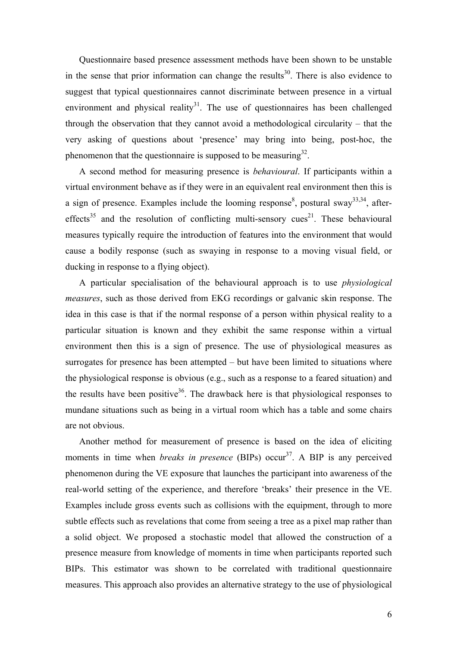Questionnaire based presence assessment methods have been shown to be unstable in the sense that prior information can change the results<sup>30</sup>. There is also evidence to suggest that typical questionnaires cannot discriminate between presence in a virtual environment and physical reality<sup>31</sup>. The use of questionnaires has been challenged through the observation that they cannot avoid a methodological circularity – that the very asking of questions about 'presence' may bring into being, post-hoc, the phenomenon that the questionnaire is supposed to be measuring  $32$ .

A second method for measuring presence is *behavioural*. If participants within a virtual environment behave as if they were in an equivalent real environment then this is a sign of presence. Examples include the looming response<sup>8</sup>, postural sway<sup>33,34</sup>, aftereffects<sup>35</sup> and the resolution of conflicting multi-sensory cues<sup>21</sup>. These behavioural measures typically require the introduction of features into the environment that would cause a bodily response (such as swaying in response to a moving visual field, or ducking in response to a flying object).

A particular specialisation of the behavioural approach is to use *physiological measures*, such as those derived from EKG recordings or galvanic skin response. The idea in this case is that if the normal response of a person within physical reality to a particular situation is known and they exhibit the same response within a virtual environment then this is a sign of presence. The use of physiological measures as surrogates for presence has been attempted – but have been limited to situations where the physiological response is obvious (e.g., such as a response to a feared situation) and the results have been positive<sup>36</sup>. The drawback here is that physiological responses to mundane situations such as being in a virtual room which has a table and some chairs are not obvious.

Another method for measurement of presence is based on the idea of eliciting moments in time when *breaks in presence* (BIPs) occur<sup>37</sup>. A BIP is any perceived phenomenon during the VE exposure that launches the participant into awareness of the real-world setting of the experience, and therefore 'breaks' their presence in the VE. Examples include gross events such as collisions with the equipment, through to more subtle effects such as revelations that come from seeing a tree as a pixel map rather than a solid object. We proposed a stochastic model that allowed the construction of a presence measure from knowledge of moments in time when participants reported such BIPs. This estimator was shown to be correlated with traditional questionnaire measures. This approach also provides an alternative strategy to the use of physiological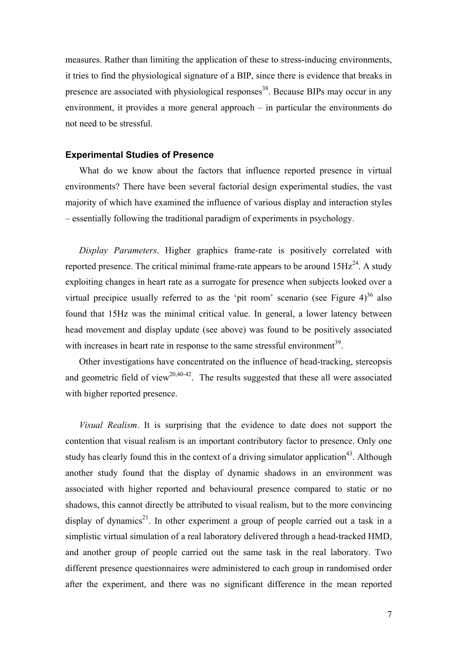measures. Rather than limiting the application of these to stress-inducing environments, it tries to find the physiological signature of a BIP, since there is evidence that breaks in presence are associated with physiological responses<sup>38</sup>. Because BIPs may occur in any environment, it provides a more general approach – in particular the environments do not need to be stressful.

#### **Experimental Studies of Presence**

What do we know about the factors that influence reported presence in virtual environments? There have been several factorial design experimental studies, the vast majority of which have examined the influence of various display and interaction styles – essentially following the traditional paradigm of experiments in psychology.

*Display Parameters*. Higher graphics frame-rate is positively correlated with reported presence. The critical minimal frame-rate appears to be around  $15Hz^{24}$ . A study exploiting changes in heart rate as a surrogate for presence when subjects looked over a virtual precipice usually referred to as the 'pit room' scenario (see Figure  $4$ )<sup>36</sup> also found that 15Hz was the minimal critical value. In general, a lower latency between head movement and display update (see above) was found to be positively associated with increases in heart rate in response to the same stressful environment<sup>39</sup>.

Other investigations have concentrated on the influence of head-tracking, stereopsis and geometric field of view<sup>20,40-42</sup>. The results suggested that these all were associated with higher reported presence.

*Visual Realism*. It is surprising that the evidence to date does not support the contention that visual realism is an important contributory factor to presence. Only one study has clearly found this in the context of a driving simulator application<sup>43</sup>. Although another study found that the display of dynamic shadows in an environment was associated with higher reported and behavioural presence compared to static or no shadows, this cannot directly be attributed to visual realism, but to the more convincing display of dynamics<sup>21</sup>. In other experiment a group of people carried out a task in a simplistic virtual simulation of a real laboratory delivered through a head-tracked HMD, and another group of people carried out the same task in the real laboratory. Two different presence questionnaires were administered to each group in randomised order after the experiment, and there was no significant difference in the mean reported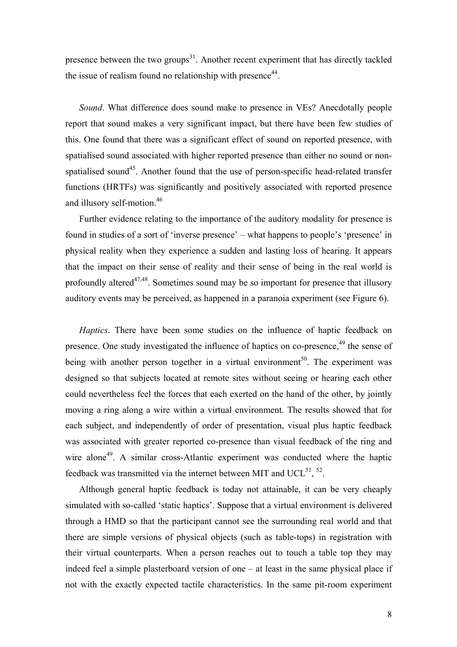presence between the two groups<sup>31</sup>. Another recent experiment that has directly tackled the issue of realism found no relationship with presence<sup>44</sup>.

*Sound*. What difference does sound make to presence in VEs? Anecdotally people report that sound makes a very significant impact, but there have been few studies of this. One found that there was a significant effect of sound on reported presence, with spatialised sound associated with higher reported presence than either no sound or nonspatialised sound<sup>45</sup>. Another found that the use of person-specific head-related transfer functions (HRTFs) was significantly and positively associated with reported presence and illusory self-motion.<sup>46</sup>

Further evidence relating to the importance of the auditory modality for presence is found in studies of a sort of 'inverse presence' – what happens to people's 'presence' in physical reality when they experience a sudden and lasting loss of hearing. It appears that the impact on their sense of reality and their sense of being in the real world is profoundly altered<sup> $47,48$ </sup>. Sometimes sound may be so important for presence that illusory auditory events may be perceived, as happened in a paranoia experiment (see Figure 6).

*Haptics*. There have been some studies on the influence of haptic feedback on presence. One study investigated the influence of haptics on co-presence, <sup>49</sup> the sense of being with another person together in a virtual environment<sup>50</sup>. The experiment was designed so that subjects located at remote sites without seeing or hearing each other could nevertheless feel the forces that each exerted on the hand of the other, by jointly moving a ring along a wire within a virtual environment. The results showed that for each subject, and independently of order of presentation, visual plus haptic feedback was associated with greater reported co-presence than visual feedback of the ring and wire alone<sup>49</sup>. A similar cross-Atlantic experiment was conducted where the haptic feedback was transmitted via the internet between MIT and UCL $^{51}$ ,  $^{52}$ .

Although general haptic feedback is today not attainable, it can be very cheaply simulated with so-called 'static haptics'. Suppose that a virtual environment is delivered through a HMD so that the participant cannot see the surrounding real world and that there are simple versions of physical objects (such as table-tops) in registration with their virtual counterparts. When a person reaches out to touch a table top they may indeed feel a simple plasterboard version of one – at least in the same physical place if not with the exactly expected tactile characteristics. In the same pit-room experiment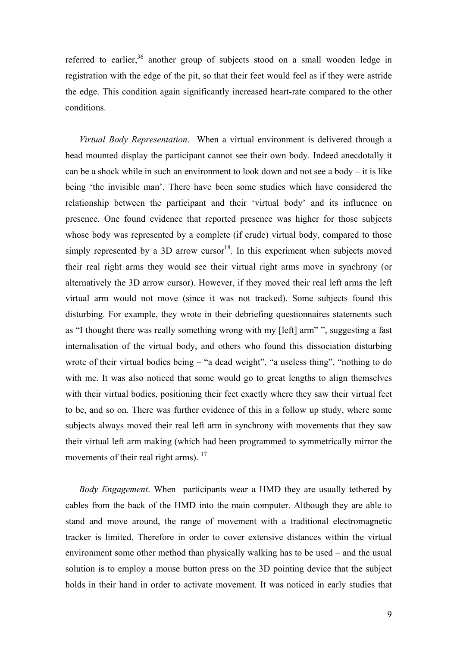referred to earlier,<sup>36</sup> another group of subjects stood on a small wooden ledge in registration with the edge of the pit, so that their feet would feel as if they were astride the edge. This condition again significantly increased heart-rate compared to the other conditions.

*Virtual Body Representation*. When a virtual environment is delivered through a head mounted display the participant cannot see their own body. Indeed anecdotally it can be a shock while in such an environment to look down and not see a body – it is like being 'the invisible man'. There have been some studies which have considered the relationship between the participant and their 'virtual body' and its influence on presence. One found evidence that reported presence was higher for those subjects whose body was represented by a complete (if crude) virtual body, compared to those simply represented by a 3D arrow cursor<sup>18</sup>. In this experiment when subjects moved their real right arms they would see their virtual right arms move in synchrony (or alternatively the 3D arrow cursor). However, if they moved their real left arms the left virtual arm would not move (since it was not tracked). Some subjects found this disturbing. For example, they wrote in their debriefing questionnaires statements such as "I thought there was really something wrong with my [left] arm" ", suggesting a fast internalisation of the virtual body, and others who found this dissociation disturbing wrote of their virtual bodies being – "a dead weight", "a useless thing", "nothing to do with me. It was also noticed that some would go to great lengths to align themselves with their virtual bodies, positioning their feet exactly where they saw their virtual feet to be, and so on. There was further evidence of this in a follow up study, where some subjects always moved their real left arm in synchrony with movements that they saw their virtual left arm making (which had been programmed to symmetrically mirror the movements of their real right arms). <sup>17</sup>

*Body Engagement*. When participants wear a HMD they are usually tethered by cables from the back of the HMD into the main computer. Although they are able to stand and move around, the range of movement with a traditional electromagnetic tracker is limited. Therefore in order to cover extensive distances within the virtual environment some other method than physically walking has to be used – and the usual solution is to employ a mouse button press on the 3D pointing device that the subject holds in their hand in order to activate movement. It was noticed in early studies that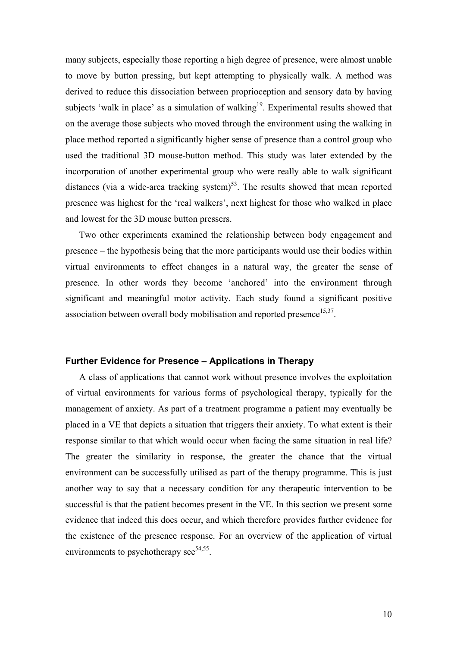many subjects, especially those reporting a high degree of presence, were almost unable to move by button pressing, but kept attempting to physically walk. A method was derived to reduce this dissociation between proprioception and sensory data by having subjects 'walk in place' as a simulation of walking<sup>19</sup>. Experimental results showed that on the average those subjects who moved through the environment using the walking in place method reported a significantly higher sense of presence than a control group who used the traditional 3D mouse-button method. This study was later extended by the incorporation of another experimental group who were really able to walk significant distances (via a wide-area tracking system)<sup>53</sup>. The results showed that mean reported presence was highest for the 'real walkers', next highest for those who walked in place and lowest for the 3D mouse button pressers.

Two other experiments examined the relationship between body engagement and presence – the hypothesis being that the more participants would use their bodies within virtual environments to effect changes in a natural way, the greater the sense of presence. In other words they become 'anchored' into the environment through significant and meaningful motor activity. Each study found a significant positive association between overall body mobilisation and reported presence<sup>15,37</sup>.

### **Further Evidence for Presence – Applications in Therapy**

A class of applications that cannot work without presence involves the exploitation of virtual environments for various forms of psychological therapy, typically for the management of anxiety. As part of a treatment programme a patient may eventually be placed in a VE that depicts a situation that triggers their anxiety. To what extent is their response similar to that which would occur when facing the same situation in real life? The greater the similarity in response, the greater the chance that the virtual environment can be successfully utilised as part of the therapy programme. This is just another way to say that a necessary condition for any therapeutic intervention to be successful is that the patient becomes present in the VE. In this section we present some evidence that indeed this does occur, and which therefore provides further evidence for the existence of the presence response. For an overview of the application of virtual environments to psychotherapy see $54,55$ .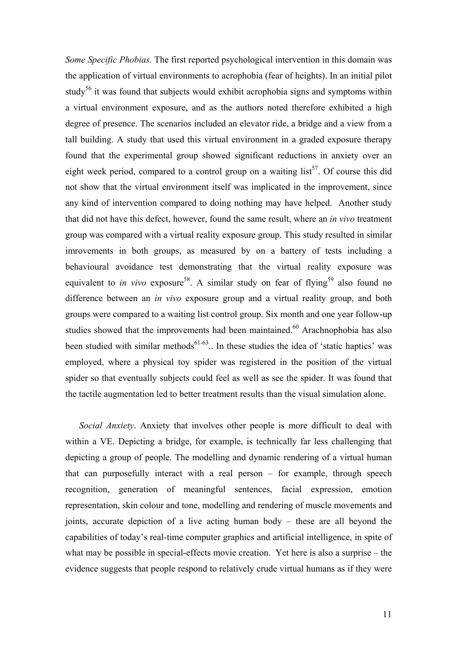*Some Specific Phobias.* The first reported psychological intervention in this domain was the application of virtual environments to acrophobia (fear of heights). In an initial pilot study<sup>56</sup> it was found that subjects would exhibit acrophobia signs and symptoms within a virtual environment exposure, and as the authors noted therefore exhibited a high degree of presence. The scenarios included an elevator ride, a bridge and a view from a tall building. A study that used this virtual environment in a graded exposure therapy found that the experimental group showed significant reductions in anxiety over an eight week period, compared to a control group on a waiting  $list^{57}$ . Of course this did not show that the virtual environment itself was implicated in the improvement, since any kind of intervention compared to doing nothing may have helped. Another study that did not have this defect, however, found the same result, where an *in vivo* treatment group was compared with a virtual reality exposure group. This study resulted in similar imrovements in both groups, as measured by on a battery of tests including a behavioural avoidance test demonstrating that the virtual reality exposure was equivalent to *in vivo* exposure<sup>58</sup>. A similar study on fear of flying<sup>59</sup> also found no difference between an *in vivo* exposure group and a virtual reality group, and both groups were compared to a waiting list control group. Six month and one year follow-up studies showed that the improvements had been maintained.<sup>60</sup> Arachnophobia has also been studied with similar methods<sup> $61-63$ </sup>.. In these studies the idea of 'static haptics' was employed, where a physical toy spider was registered in the position of the virtual spider so that eventually subjects could feel as well as see the spider. It was found that the tactile augmentation led to better treatment results than the visual simulation alone.

*Social Anxiety*. Anxiety that involves other people is more difficult to deal with within a VE. Depicting a bridge, for example, is technically far less challenging that depicting a group of people. The modelling and dynamic rendering of a virtual human that can purposefully interact with a real person – for example, through speech recognition, generation of meaningful sentences, facial expression, emotion representation, skin colour and tone, modelling and rendering of muscle movements and joints, accurate depiction of a live acting human body – these are all beyond the capabilities of today's real-time computer graphics and artificial intelligence, in spite of what may be possible in special-effects movie creation. Yet here is also a surprise – the evidence suggests that people respond to relatively crude virtual humans as if they were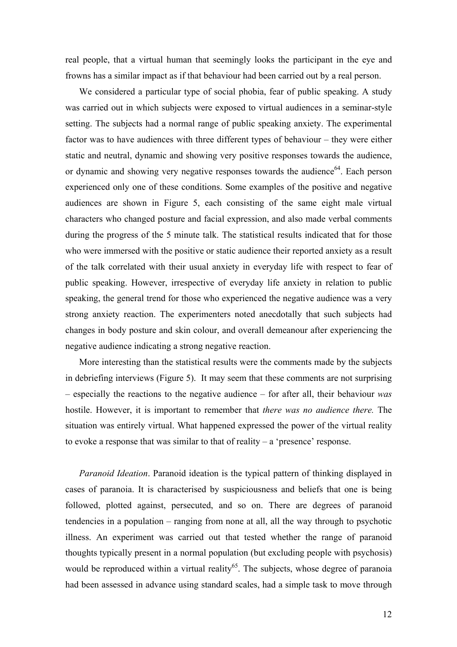real people, that a virtual human that seemingly looks the participant in the eye and frowns has a similar impact as if that behaviour had been carried out by a real person.

We considered a particular type of social phobia, fear of public speaking. A study was carried out in which subjects were exposed to virtual audiences in a seminar-style setting. The subjects had a normal range of public speaking anxiety. The experimental factor was to have audiences with three different types of behaviour – they were either static and neutral, dynamic and showing very positive responses towards the audience, or dynamic and showing very negative responses towards the audience<sup>64</sup>. Each person experienced only one of these conditions. Some examples of the positive and negative audiences are shown in Figure 5, each consisting of the same eight male virtual characters who changed posture and facial expression, and also made verbal comments during the progress of the 5 minute talk. The statistical results indicated that for those who were immersed with the positive or static audience their reported anxiety as a result of the talk correlated with their usual anxiety in everyday life with respect to fear of public speaking. However, irrespective of everyday life anxiety in relation to public speaking, the general trend for those who experienced the negative audience was a very strong anxiety reaction. The experimenters noted anecdotally that such subjects had changes in body posture and skin colour, and overall demeanour after experiencing the negative audience indicating a strong negative reaction.

More interesting than the statistical results were the comments made by the subjects in debriefing interviews (Figure 5). It may seem that these comments are not surprising – especially the reactions to the negative audience – for after all, their behaviour *was* hostile. However, it is important to remember that *there was no audience there.* The situation was entirely virtual. What happened expressed the power of the virtual reality to evoke a response that was similar to that of reality – a 'presence' response.

*Paranoid Ideation*. Paranoid ideation is the typical pattern of thinking displayed in cases of paranoia. It is characterised by suspiciousness and beliefs that one is being followed, plotted against, persecuted, and so on. There are degrees of paranoid tendencies in a population – ranging from none at all, all the way through to psychotic illness. An experiment was carried out that tested whether the range of paranoid thoughts typically present in a normal population (but excluding people with psychosis) would be reproduced within a virtual reality<sup>65</sup>. The subjects, whose degree of paranoia had been assessed in advance using standard scales, had a simple task to move through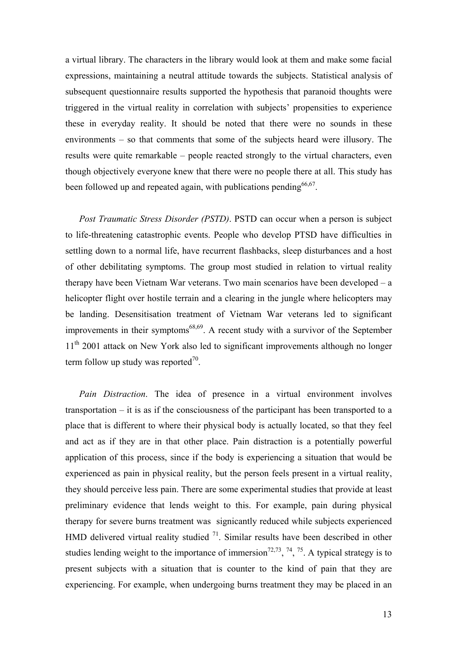a virtual library. The characters in the library would look at them and make some facial expressions, maintaining a neutral attitude towards the subjects. Statistical analysis of subsequent questionnaire results supported the hypothesis that paranoid thoughts were triggered in the virtual reality in correlation with subjects' propensities to experience these in everyday reality. It should be noted that there were no sounds in these environments – so that comments that some of the subjects heard were illusory. The results were quite remarkable – people reacted strongly to the virtual characters, even though objectively everyone knew that there were no people there at all. This study has been followed up and repeated again, with publications pending  $66,67$ .

*Post Traumatic Stress Disorder (PSTD)*. PSTD can occur when a person is subject to life-threatening catastrophic events. People who develop PTSD have difficulties in settling down to a normal life, have recurrent flashbacks, sleep disturbances and a host of other debilitating symptoms. The group most studied in relation to virtual reality therapy have been Vietnam War veterans. Two main scenarios have been developed – a helicopter flight over hostile terrain and a clearing in the jungle where helicopters may be landing. Desensitisation treatment of Vietnam War veterans led to significant improvements in their symptoms $^{68,69}$ . A recent study with a survivor of the September 11<sup>th</sup> 2001 attack on New York also led to significant improvements although no longer term follow up study was reported $70$ .

*Pain Distraction*. The idea of presence in a virtual environment involves transportation – it is as if the consciousness of the participant has been transported to a place that is different to where their physical body is actually located, so that they feel and act as if they are in that other place. Pain distraction is a potentially powerful application of this process, since if the body is experiencing a situation that would be experienced as pain in physical reality, but the person feels present in a virtual reality, they should perceive less pain. There are some experimental studies that provide at least preliminary evidence that lends weight to this. For example, pain during physical therapy for severe burns treatment was signicantly reduced while subjects experienced HMD delivered virtual reality studied  $<sup>71</sup>$ . Similar results have been described in other</sup> studies lending weight to the importance of immersion<sup>72,73</sup>,  $^{74}$ ,  $^{75}$ . A typical strategy is to present subjects with a situation that is counter to the kind of pain that they are experiencing. For example, when undergoing burns treatment they may be placed in an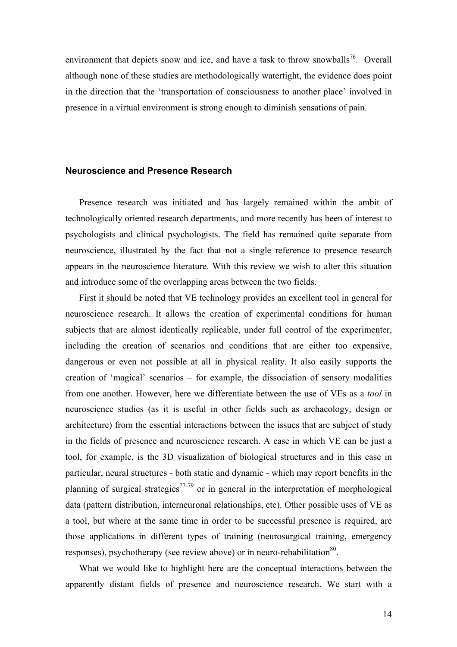environment that depicts snow and ice, and have a task to throw snowballs<sup>76</sup>. Overall although none of these studies are methodologically watertight, the evidence does point in the direction that the 'transportation of consciousness to another place' involved in presence in a virtual environment is strong enough to diminish sensations of pain.

#### **Neuroscience and Presence Research**

Presence research was initiated and has largely remained within the ambit of technologically oriented research departments, and more recently has been of interest to psychologists and clinical psychologists. The field has remained quite separate from neuroscience, illustrated by the fact that not a single reference to presence research appears in the neuroscience literature. With this review we wish to alter this situation and introduce some of the overlapping areas between the two fields.

First it should be noted that VE technology provides an excellent tool in general for neuroscience research. It allows the creation of experimental conditions for human subjects that are almost identically replicable, under full control of the experimenter, including the creation of scenarios and conditions that are either too expensive, dangerous or even not possible at all in physical reality. It also easily supports the creation of 'magical' scenarios – for example, the dissociation of sensory modalities from one another. However, here we differentiate between the use of VEs as a *tool* in neuroscience studies (as it is useful in other fields such as archaeology, design or architecture) from the essential interactions between the issues that are subject of study in the fields of presence and neuroscience research. A case in which VE can be just a tool, for example, is the 3D visualization of biological structures and in this case in particular, neural structures - both static and dynamic - which may report benefits in the planning of surgical strategies<sup>77-79</sup> or in general in the interpretation of morphological data (pattern distribution, interneuronal relationships, etc). Other possible uses of VE as a tool, but where at the same time in order to be successful presence is required, are those applications in different types of training (neurosurgical training, emergency responses), psychotherapy (see review above) or in neuro-rehabilitation<sup>80</sup>.

What we would like to highlight here are the conceptual interactions between the apparently distant fields of presence and neuroscience research. We start with a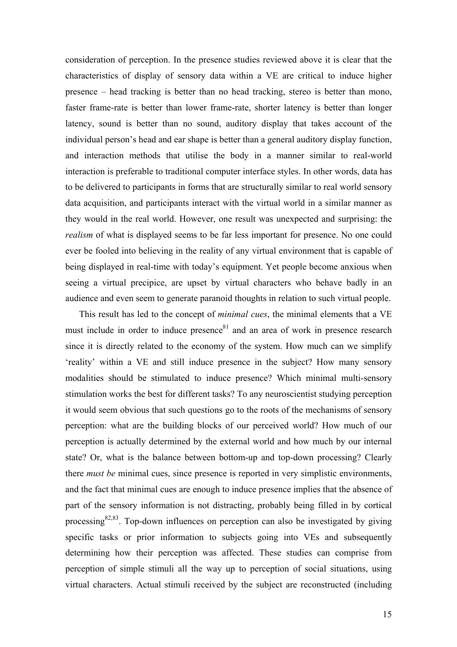consideration of perception. In the presence studies reviewed above it is clear that the characteristics of display of sensory data within a VE are critical to induce higher presence – head tracking is better than no head tracking, stereo is better than mono, faster frame-rate is better than lower frame-rate, shorter latency is better than longer latency, sound is better than no sound, auditory display that takes account of the individual person's head and ear shape is better than a general auditory display function, and interaction methods that utilise the body in a manner similar to real-world interaction is preferable to traditional computer interface styles. In other words, data has to be delivered to participants in forms that are structurally similar to real world sensory data acquisition, and participants interact with the virtual world in a similar manner as they would in the real world. However, one result was unexpected and surprising: the *realism* of what is displayed seems to be far less important for presence. No one could ever be fooled into believing in the reality of any virtual environment that is capable of being displayed in real-time with today's equipment. Yet people become anxious when seeing a virtual precipice, are upset by virtual characters who behave badly in an audience and even seem to generate paranoid thoughts in relation to such virtual people.

This result has led to the concept of *minimal cues*, the minimal elements that a VE must include in order to induce presence $81$  and an area of work in presence research since it is directly related to the economy of the system. How much can we simplify 'reality' within a VE and still induce presence in the subject? How many sensory modalities should be stimulated to induce presence? Which minimal multi-sensory stimulation works the best for different tasks? To any neuroscientist studying perception it would seem obvious that such questions go to the roots of the mechanisms of sensory perception: what are the building blocks of our perceived world? How much of our perception is actually determined by the external world and how much by our internal state? Or, what is the balance between bottom-up and top-down processing? Clearly there *must be* minimal cues, since presence is reported in very simplistic environments, and the fact that minimal cues are enough to induce presence implies that the absence of part of the sensory information is not distracting, probably being filled in by cortical processing<sup>82,83</sup>. Top-down influences on perception can also be investigated by giving specific tasks or prior information to subjects going into VEs and subsequently determining how their perception was affected. These studies can comprise from perception of simple stimuli all the way up to perception of social situations, using virtual characters. Actual stimuli received by the subject are reconstructed (including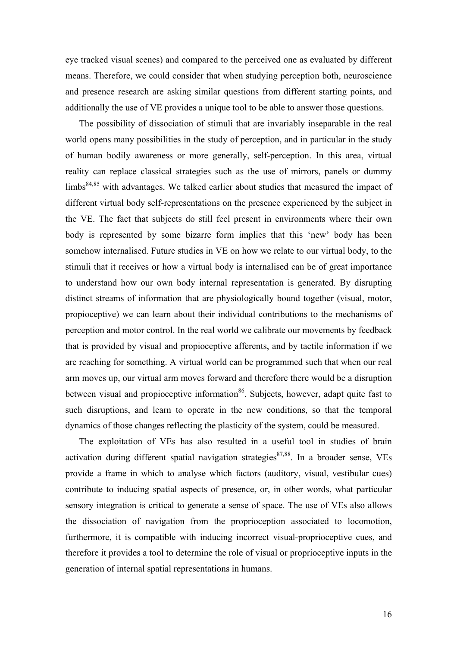eye tracked visual scenes) and compared to the perceived one as evaluated by different means. Therefore, we could consider that when studying perception both, neuroscience and presence research are asking similar questions from different starting points, and additionally the use of VE provides a unique tool to be able to answer those questions.

The possibility of dissociation of stimuli that are invariably inseparable in the real world opens many possibilities in the study of perception, and in particular in the study of human bodily awareness or more generally, self-perception. In this area, virtual reality can replace classical strategies such as the use of mirrors, panels or dummy  $\lim_{s \to 84,85}$  with advantages. We talked earlier about studies that measured the impact of different virtual body self-representations on the presence experienced by the subject in the VE. The fact that subjects do still feel present in environments where their own body is represented by some bizarre form implies that this 'new' body has been somehow internalised. Future studies in VE on how we relate to our virtual body, to the stimuli that it receives or how a virtual body is internalised can be of great importance to understand how our own body internal representation is generated. By disrupting distinct streams of information that are physiologically bound together (visual, motor, propioceptive) we can learn about their individual contributions to the mechanisms of perception and motor control. In the real world we calibrate our movements by feedback that is provided by visual and propioceptive afferents, and by tactile information if we are reaching for something. A virtual world can be programmed such that when our real arm moves up, our virtual arm moves forward and therefore there would be a disruption between visual and propioceptive information<sup>86</sup>. Subjects, however, adapt quite fast to such disruptions, and learn to operate in the new conditions, so that the temporal dynamics of those changes reflecting the plasticity of the system, could be measured.

The exploitation of VEs has also resulted in a useful tool in studies of brain activation during different spatial navigation strategies $87,88$ . In a broader sense, VEs provide a frame in which to analyse which factors (auditory, visual, vestibular cues) contribute to inducing spatial aspects of presence, or, in other words, what particular sensory integration is critical to generate a sense of space. The use of VEs also allows the dissociation of navigation from the proprioception associated to locomotion, furthermore, it is compatible with inducing incorrect visual-proprioceptive cues, and therefore it provides a tool to determine the role of visual or proprioceptive inputs in the generation of internal spatial representations in humans.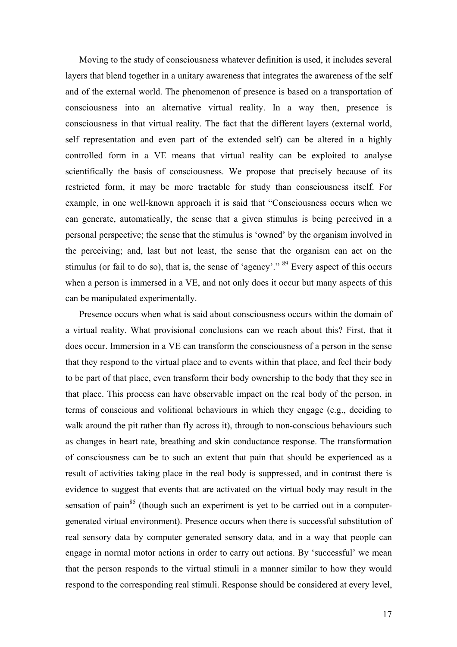Moving to the study of consciousness whatever definition is used, it includes several layers that blend together in a unitary awareness that integrates the awareness of the self and of the external world. The phenomenon of presence is based on a transportation of consciousness into an alternative virtual reality. In a way then, presence is consciousness in that virtual reality. The fact that the different layers (external world, self representation and even part of the extended self) can be altered in a highly controlled form in a VE means that virtual reality can be exploited to analyse scientifically the basis of consciousness. We propose that precisely because of its restricted form, it may be more tractable for study than consciousness itself. For example, in one well-known approach it is said that "Consciousness occurs when we can generate, automatically, the sense that a given stimulus is being perceived in a personal perspective; the sense that the stimulus is 'owned' by the organism involved in the perceiving; and, last but not least, the sense that the organism can act on the stimulus (or fail to do so), that is, the sense of 'agency'."  $89$  Every aspect of this occurs when a person is immersed in a VE, and not only does it occur but many aspects of this can be manipulated experimentally.

Presence occurs when what is said about consciousness occurs within the domain of a virtual reality. What provisional conclusions can we reach about this? First, that it does occur. Immersion in a VE can transform the consciousness of a person in the sense that they respond to the virtual place and to events within that place, and feel their body to be part of that place, even transform their body ownership to the body that they see in that place. This process can have observable impact on the real body of the person, in terms of conscious and volitional behaviours in which they engage (e.g., deciding to walk around the pit rather than fly across it), through to non-conscious behaviours such as changes in heart rate, breathing and skin conductance response. The transformation of consciousness can be to such an extent that pain that should be experienced as a result of activities taking place in the real body is suppressed, and in contrast there is evidence to suggest that events that are activated on the virtual body may result in the sensation of pain<sup>85</sup> (though such an experiment is yet to be carried out in a computergenerated virtual environment). Presence occurs when there is successful substitution of real sensory data by computer generated sensory data, and in a way that people can engage in normal motor actions in order to carry out actions. By 'successful' we mean that the person responds to the virtual stimuli in a manner similar to how they would respond to the corresponding real stimuli. Response should be considered at every level,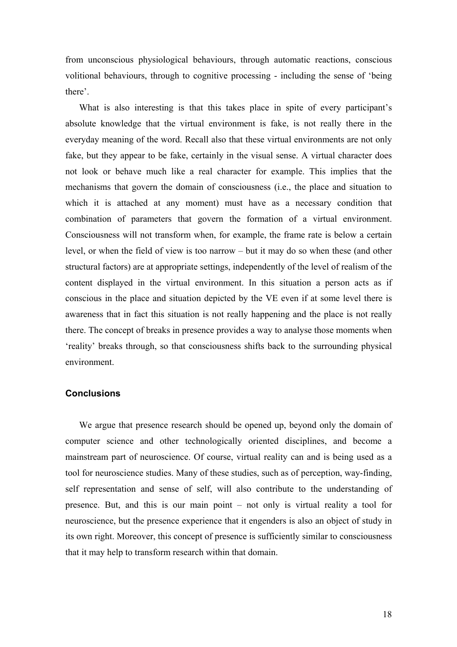from unconscious physiological behaviours, through automatic reactions, conscious volitional behaviours, through to cognitive processing - including the sense of 'being there'.

What is also interesting is that this takes place in spite of every participant's absolute knowledge that the virtual environment is fake, is not really there in the everyday meaning of the word. Recall also that these virtual environments are not only fake, but they appear to be fake, certainly in the visual sense. A virtual character does not look or behave much like a real character for example. This implies that the mechanisms that govern the domain of consciousness (i.e., the place and situation to which it is attached at any moment) must have as a necessary condition that combination of parameters that govern the formation of a virtual environment. Consciousness will not transform when, for example, the frame rate is below a certain level, or when the field of view is too narrow – but it may do so when these (and other structural factors) are at appropriate settings, independently of the level of realism of the content displayed in the virtual environment. In this situation a person acts as if conscious in the place and situation depicted by the VE even if at some level there is awareness that in fact this situation is not really happening and the place is not really there. The concept of breaks in presence provides a way to analyse those moments when 'reality' breaks through, so that consciousness shifts back to the surrounding physical environment.

# **Conclusions**

We argue that presence research should be opened up, beyond only the domain of computer science and other technologically oriented disciplines, and become a mainstream part of neuroscience. Of course, virtual reality can and is being used as a tool for neuroscience studies. Many of these studies, such as of perception, way-finding, self representation and sense of self, will also contribute to the understanding of presence. But, and this is our main point – not only is virtual reality a tool for neuroscience, but the presence experience that it engenders is also an object of study in its own right. Moreover, this concept of presence is sufficiently similar to consciousness that it may help to transform research within that domain.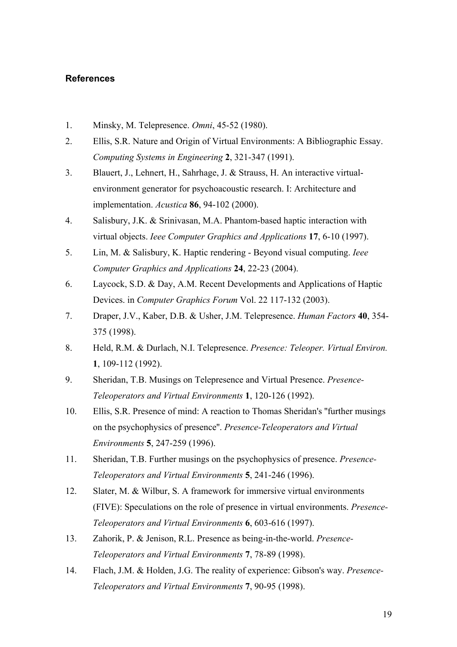# **References**

- 1. Minsky, M. Telepresence. *Omni*, 45-52 (1980).
- 2. Ellis, S.R. Nature and Origin of Virtual Environments: A Bibliographic Essay. *Computing Systems in Engineering* **2**, 321-347 (1991).
- 3. Blauert, J., Lehnert, H., Sahrhage, J. & Strauss, H. An interactive virtualenvironment generator for psychoacoustic research. I: Architecture and implementation. *Acustica* **86**, 94-102 (2000).
- 4. Salisbury, J.K. & Srinivasan, M.A. Phantom-based haptic interaction with virtual objects. *Ieee Computer Graphics and Applications* **17**, 6-10 (1997).
- 5. Lin, M. & Salisbury, K. Haptic rendering Beyond visual computing. *Ieee Computer Graphics and Applications* **24**, 22-23 (2004).
- 6. Laycock, S.D. & Day, A.M. Recent Developments and Applications of Haptic Devices. in *Computer Graphics Forum* Vol. 22 117-132 (2003).
- 7. Draper, J.V., Kaber, D.B. & Usher, J.M. Telepresence. *Human Factors* **40**, 354- 375 (1998).
- 8. Held, R.M. & Durlach, N.I. Telepresence. *Presence: Teleoper. Virtual Environ.* **1**, 109-112 (1992).
- 9. Sheridan, T.B. Musings on Telepresence and Virtual Presence. *Presence-Teleoperators and Virtual Environments* **1**, 120-126 (1992).
- 10. Ellis, S.R. Presence of mind: A reaction to Thomas Sheridan's ''further musings on the psychophysics of presence''. *Presence-Teleoperators and Virtual Environments* **5**, 247-259 (1996).
- 11. Sheridan, T.B. Further musings on the psychophysics of presence. *Presence-Teleoperators and Virtual Environments* **5**, 241-246 (1996).
- 12. Slater, M. & Wilbur, S. A framework for immersive virtual environments (FIVE): Speculations on the role of presence in virtual environments. *Presence-Teleoperators and Virtual Environments* **6**, 603-616 (1997).
- 13. Zahorik, P. & Jenison, R.L. Presence as being-in-the-world. *Presence-Teleoperators and Virtual Environments* **7**, 78-89 (1998).
- 14. Flach, J.M. & Holden, J.G. The reality of experience: Gibson's way. *Presence-Teleoperators and Virtual Environments* **7**, 90-95 (1998).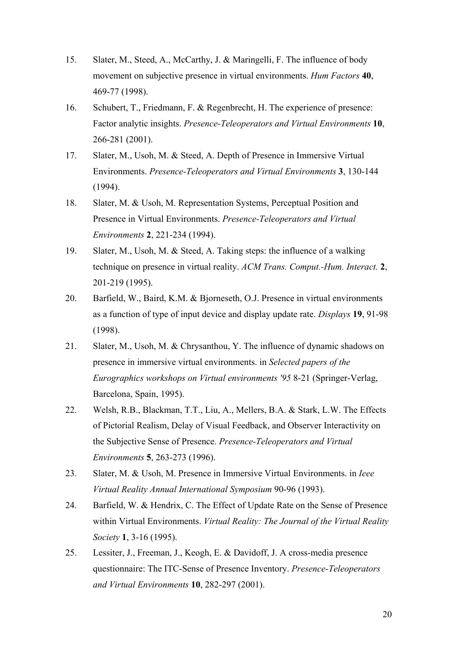- 15. Slater, M., Steed, A., McCarthy, J. & Maringelli, F. The influence of body movement on subjective presence in virtual environments. *Hum Factors* **40**, 469-77 (1998).
- 16. Schubert, T., Friedmann, F. & Regenbrecht, H. The experience of presence: Factor analytic insights. *Presence-Teleoperators and Virtual Environments* **10**, 266-281 (2001).
- 17. Slater, M., Usoh, M. & Steed, A. Depth of Presence in Immersive Virtual Environments. *Presence-Teleoperators and Virtual Environments* **3**, 130-144 (1994).
- 18. Slater, M. & Usoh, M. Representation Systems, Perceptual Position and Presence in Virtual Environments. *Presence-Teleoperators and Virtual Environments* **2**, 221-234 (1994).
- 19. Slater, M., Usoh, M. & Steed, A. Taking steps: the influence of a walking technique on presence in virtual reality. *ACM Trans. Comput.-Hum. Interact.* **2**, 201-219 (1995).
- 20. Barfield, W., Baird, K.M. & Bjorneseth, O.J. Presence in virtual environments as a function of type of input device and display update rate. *Displays* **19**, 91-98 (1998).
- 21. Slater, M., Usoh, M. & Chrysanthou, Y. The influence of dynamic shadows on presence in immersive virtual environments. in *Selected papers of the Eurographics workshops on Virtual environments '95* 8-21 (Springer-Verlag, Barcelona, Spain, 1995).
- 22. Welsh, R.B., Blackman, T.T., Liu, A., Mellers, B.A. & Stark, L.W. The Effects of Pictorial Realism, Delay of Visual Feedback, and Observer Interactivity on the Subjective Sense of Presence. *Presence-Teleoperators and Virtual Environments* **5**, 263-273 (1996).
- 23. Slater, M. & Usoh, M. Presence in Immersive Virtual Environments. in *Ieee Virtual Reality Annual International Symposium* 90-96 (1993).
- 24. Barfield, W. & Hendrix, C. The Effect of Update Rate on the Sense of Presence within Virtual Environments. *Virtual Reality: The Journal of the Virtual Reality Society* **1**, 3-16 (1995).
- 25. Lessiter, J., Freeman, J., Keogh, E. & Davidoff, J. A cross-media presence questionnaire: The ITC-Sense of Presence Inventory. *Presence-Teleoperators and Virtual Environments* **10**, 282-297 (2001).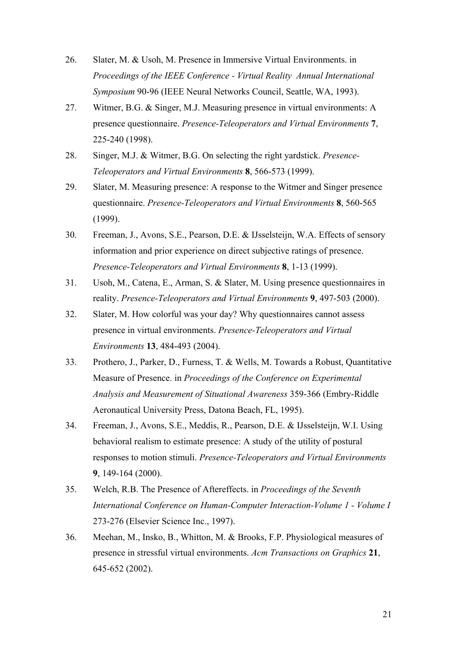- 26. Slater, M. & Usoh, M. Presence in Immersive Virtual Environments. in *Proceedings of the IEEE Conference - Virtual Reality Annual International Symposium* 90-96 (IEEE Neural Networks Council, Seattle, WA, 1993).
- 27. Witmer, B.G. & Singer, M.J. Measuring presence in virtual environments: A presence questionnaire. *Presence-Teleoperators and Virtual Environments* **7**, 225-240 (1998).
- 28. Singer, M.J. & Witmer, B.G. On selecting the right yardstick. *Presence-Teleoperators and Virtual Environments* **8**, 566-573 (1999).
- 29. Slater, M. Measuring presence: A response to the Witmer and Singer presence questionnaire. *Presence-Teleoperators and Virtual Environments* **8**, 560-565 (1999).
- 30. Freeman, J., Avons, S.E., Pearson, D.E. & IJsselsteijn, W.A. Effects of sensory information and prior experience on direct subjective ratings of presence. *Presence-Teleoperators and Virtual Environments* **8**, 1-13 (1999).
- 31. Usoh, M., Catena, E., Arman, S. & Slater, M. Using presence questionnaires in reality. *Presence-Teleoperators and Virtual Environments* **9**, 497-503 (2000).
- 32. Slater, M. How colorful was your day? Why questionnaires cannot assess presence in virtual environments. *Presence-Teleoperators and Virtual Environments* **13**, 484-493 (2004).
- 33. Prothero, J., Parker, D., Furness, T. & Wells, M. Towards a Robust, Quantitative Measure of Presence. in *Proceedings of the Conference on Experimental Analysis and Measurement of Situational Awareness* 359-366 (Embry-Riddle Aeronautical University Press, Datona Beach, FL, 1995).
- 34. Freeman, J., Avons, S.E., Meddis, R., Pearson, D.E. & IJsselsteijn, W.I. Using behavioral realism to estimate presence: A study of the utility of postural responses to motion stimuli. *Presence-Teleoperators and Virtual Environments* **9**, 149-164 (2000).
- 35. Welch, R.B. The Presence of Aftereffects. in *Proceedings of the Seventh International Conference on Human-Computer Interaction-Volume 1 - Volume I* 273-276 (Elsevier Science Inc., 1997).
- 36. Meehan, M., Insko, B., Whitton, M. & Brooks, F.P. Physiological measures of presence in stressful virtual environments. *Acm Transactions on Graphics* **21**, 645-652 (2002).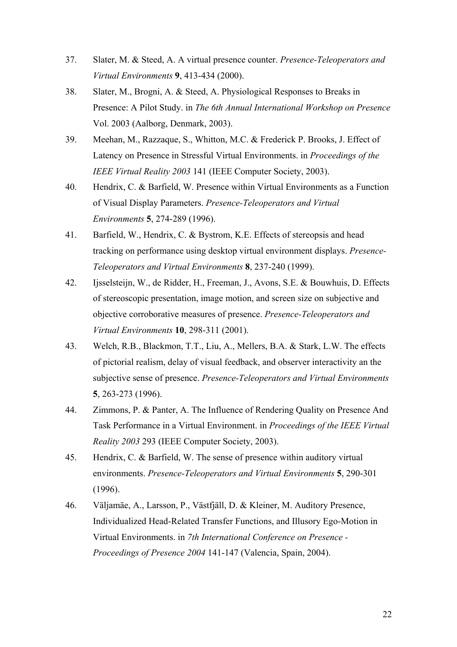- 37. Slater, M. & Steed, A. A virtual presence counter. *Presence-Teleoperators and Virtual Environments* **9**, 413-434 (2000).
- 38. Slater, M., Brogni, A. & Steed, A. Physiological Responses to Breaks in Presence: A Pilot Study. in *The 6th Annual International Workshop on Presence*  Vol. 2003 (Aalborg, Denmark, 2003).
- 39. Meehan, M., Razzaque, S., Whitton, M.C. & Frederick P. Brooks, J. Effect of Latency on Presence in Stressful Virtual Environments. in *Proceedings of the IEEE Virtual Reality 2003* 141 (IEEE Computer Society, 2003).
- 40. Hendrix, C. & Barfield, W. Presence within Virtual Environments as a Function of Visual Display Parameters. *Presence-Teleoperators and Virtual Environments* **5**, 274-289 (1996).
- 41. Barfield, W., Hendrix, C. & Bystrom, K.E. Effects of stereopsis and head tracking on performance using desktop virtual environment displays. *Presence-Teleoperators and Virtual Environments* **8**, 237-240 (1999).
- 42. Ijsselsteijn, W., de Ridder, H., Freeman, J., Avons, S.E. & Bouwhuis, D. Effects of stereoscopic presentation, image motion, and screen size on subjective and objective corroborative measures of presence. *Presence-Teleoperators and Virtual Environments* **10**, 298-311 (2001).
- 43. Welch, R.B., Blackmon, T.T., Liu, A., Mellers, B.A. & Stark, L.W. The effects of pictorial realism, delay of visual feedback, and observer interactivity an the subjective sense of presence. *Presence-Teleoperators and Virtual Environments* **5**, 263-273 (1996).
- 44. Zimmons, P. & Panter, A. The Influence of Rendering Quality on Presence And Task Performance in a Virtual Environment. in *Proceedings of the IEEE Virtual Reality 2003* 293 (IEEE Computer Society, 2003).
- 45. Hendrix, C. & Barfield, W. The sense of presence within auditory virtual environments. *Presence-Teleoperators and Virtual Environments* **5**, 290-301 (1996).
- 46. Väljamäe, A., Larsson, P., Västfjäll, D. & Kleiner, M. Auditory Presence, Individualized Head-Related Transfer Functions, and Illusory Ego-Motion in Virtual Environments. in *7th International Conference on Presence - Proceedings of Presence 2004* 141-147 (Valencia, Spain, 2004).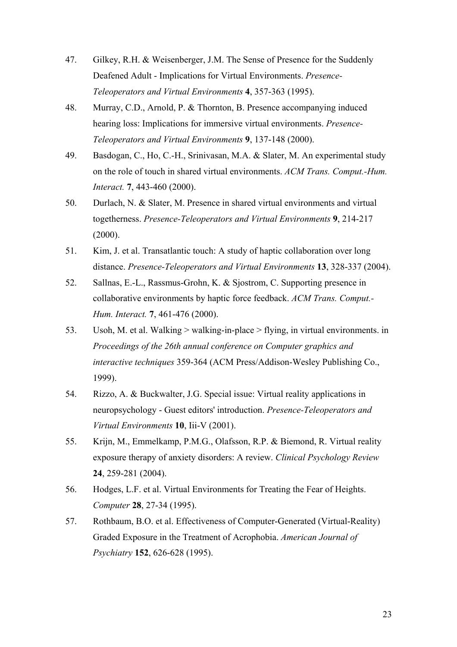- 47. Gilkey, R.H. & Weisenberger, J.M. The Sense of Presence for the Suddenly Deafened Adult - Implications for Virtual Environments. *Presence-Teleoperators and Virtual Environments* **4**, 357-363 (1995).
- 48. Murray, C.D., Arnold, P. & Thornton, B. Presence accompanying induced hearing loss: Implications for immersive virtual environments. *Presence-Teleoperators and Virtual Environments* **9**, 137-148 (2000).
- 49. Basdogan, C., Ho, C.-H., Srinivasan, M.A. & Slater, M. An experimental study on the role of touch in shared virtual environments. *ACM Trans. Comput.-Hum. Interact.* **7**, 443-460 (2000).
- 50. Durlach, N. & Slater, M. Presence in shared virtual environments and virtual togetherness. *Presence-Teleoperators and Virtual Environments* **9**, 214-217  $(2000)$ .
- 51. Kim, J. et al. Transatlantic touch: A study of haptic collaboration over long distance. *Presence-Teleoperators and Virtual Environments* **13**, 328-337 (2004).
- 52. Sallnas, E.-L., Rassmus-Grohn, K. & Sjostrom, C. Supporting presence in collaborative environments by haptic force feedback. *ACM Trans. Comput.- Hum. Interact.* **7**, 461-476 (2000).
- 53. Usoh, M. et al. Walking > walking-in-place > flying, in virtual environments. in *Proceedings of the 26th annual conference on Computer graphics and interactive techniques* 359-364 (ACM Press/Addison-Wesley Publishing Co., 1999).
- 54. Rizzo, A. & Buckwalter, J.G. Special issue: Virtual reality applications in neuropsychology - Guest editors' introduction. *Presence-Teleoperators and Virtual Environments* **10**, Iii-V (2001).
- 55. Krijn, M., Emmelkamp, P.M.G., Olafsson, R.P. & Biemond, R. Virtual reality exposure therapy of anxiety disorders: A review. *Clinical Psychology Review* **24**, 259-281 (2004).
- 56. Hodges, L.F. et al. Virtual Environments for Treating the Fear of Heights. *Computer* **28**, 27-34 (1995).
- 57. Rothbaum, B.O. et al. Effectiveness of Computer-Generated (Virtual-Reality) Graded Exposure in the Treatment of Acrophobia. *American Journal of Psychiatry* **152**, 626-628 (1995).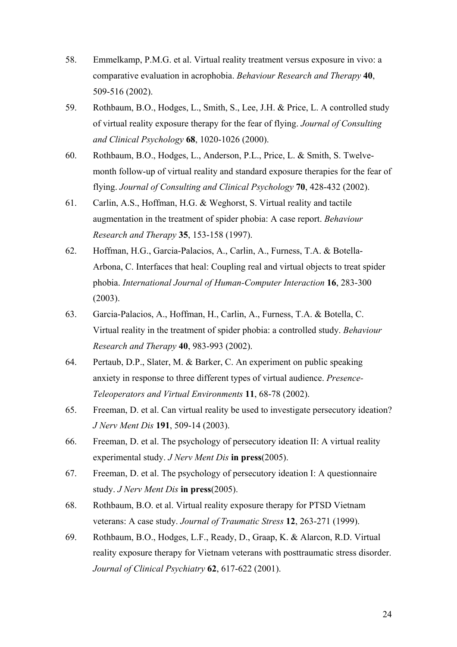- 58. Emmelkamp, P.M.G. et al. Virtual reality treatment versus exposure in vivo: a comparative evaluation in acrophobia. *Behaviour Research and Therapy* **40**, 509-516 (2002).
- 59. Rothbaum, B.O., Hodges, L., Smith, S., Lee, J.H. & Price, L. A controlled study of virtual reality exposure therapy for the fear of flying. *Journal of Consulting and Clinical Psychology* **68**, 1020-1026 (2000).
- 60. Rothbaum, B.O., Hodges, L., Anderson, P.L., Price, L. & Smith, S. Twelvemonth follow-up of virtual reality and standard exposure therapies for the fear of flying. *Journal of Consulting and Clinical Psychology* **70**, 428-432 (2002).
- 61. Carlin, A.S., Hoffman, H.G. & Weghorst, S. Virtual reality and tactile augmentation in the treatment of spider phobia: A case report. *Behaviour Research and Therapy* **35**, 153-158 (1997).
- 62. Hoffman, H.G., Garcia-Palacios, A., Carlin, A., Furness, T.A. & Botella-Arbona, C. Interfaces that heal: Coupling real and virtual objects to treat spider phobia. *International Journal of Human-Computer Interaction* **16**, 283-300 (2003).
- 63. Garcia-Palacios, A., Hoffman, H., Carlin, A., Furness, T.A. & Botella, C. Virtual reality in the treatment of spider phobia: a controlled study. *Behaviour Research and Therapy* **40**, 983-993 (2002).
- 64. Pertaub, D.P., Slater, M. & Barker, C. An experiment on public speaking anxiety in response to three different types of virtual audience. *Presence-Teleoperators and Virtual Environments* **11**, 68-78 (2002).
- 65. Freeman, D. et al. Can virtual reality be used to investigate persecutory ideation? *J Nerv Ment Dis* **191**, 509-14 (2003).
- 66. Freeman, D. et al. The psychology of persecutory ideation II: A virtual reality experimental study. *J Nerv Ment Dis* **in press**(2005).
- 67. Freeman, D. et al. The psychology of persecutory ideation I: A questionnaire study. *J Nerv Ment Dis* **in press**(2005).
- 68. Rothbaum, B.O. et al. Virtual reality exposure therapy for PTSD Vietnam veterans: A case study. *Journal of Traumatic Stress* **12**, 263-271 (1999).
- 69. Rothbaum, B.O., Hodges, L.F., Ready, D., Graap, K. & Alarcon, R.D. Virtual reality exposure therapy for Vietnam veterans with posttraumatic stress disorder. *Journal of Clinical Psychiatry* **62**, 617-622 (2001).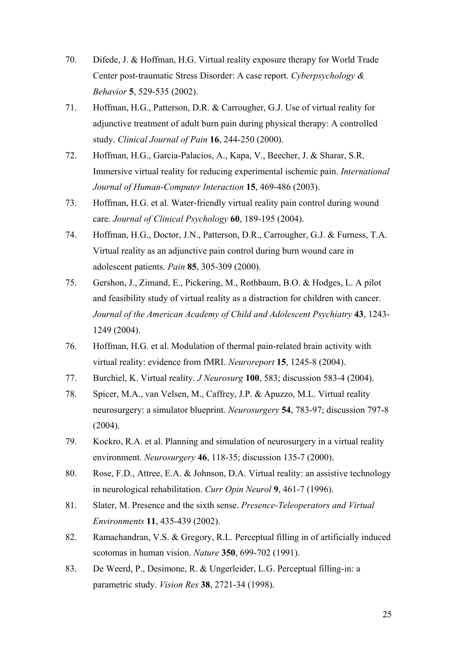- 70. Difede, J. & Hoffman, H.G. Virtual reality exposure therapy for World Trade Center post-traumatic Stress Disorder: A case report. *Cyberpsychology & Behavior* **5**, 529-535 (2002).
- 71. Hoffman, H.G., Patterson, D.R. & Carrougher, G.J. Use of virtual reality for adjunctive treatment of adult burn pain during physical therapy: A controlled study. *Clinical Journal of Pain* **16**, 244-250 (2000).
- 72. Hoffman, H.G., Garcia-Palacios, A., Kapa, V., Beecher, J. & Sharar, S.R. Immersive virtual reality for reducing experimental ischemic pain. *International Journal of Human-Computer Interaction* **15**, 469-486 (2003).
- 73. Hoffman, H.G. et al. Water-friendly virtual reality pain control during wound care. *Journal of Clinical Psychology* **60**, 189-195 (2004).
- 74. Hoffman, H.G., Doctor, J.N., Patterson, D.R., Carrougher, G.J. & Furness, T.A. Virtual reality as an adjunctive pain control during burn wound care in adolescent patients. *Pain* **85**, 305-309 (2000).
- 75. Gershon, J., Zimand, E., Pickering, M., Rothbaum, B.O. & Hodges, L. A pilot and feasibility study of virtual reality as a distraction for children with cancer. *Journal of the American Academy of Child and Adolescent Psychiatry* **43**, 1243- 1249 (2004).
- 76. Hoffman, H.G. et al. Modulation of thermal pain-related brain activity with virtual reality: evidence from fMRI. *Neuroreport* **15**, 1245-8 (2004).
- 77. Burchiel, K. Virtual reality. *J Neurosurg* **100**, 583; discussion 583-4 (2004).
- 78. Spicer, M.A., van Velsen, M., Caffrey, J.P. & Apuzzo, M.L. Virtual reality neurosurgery: a simulator blueprint. *Neurosurgery* **54**, 783-97; discussion 797-8 (2004).
- 79. Kockro, R.A. et al. Planning and simulation of neurosurgery in a virtual reality environment. *Neurosurgery* **46**, 118-35; discussion 135-7 (2000).
- 80. Rose, F.D., Attree, E.A. & Johnson, D.A. Virtual reality: an assistive technology in neurological rehabilitation. *Curr Opin Neurol* **9**, 461-7 (1996).
- 81. Slater, M. Presence and the sixth sense. *Presence-Teleoperators and Virtual Environments* **11**, 435-439 (2002).
- 82. Ramachandran, V.S. & Gregory, R.L. Perceptual filling in of artificially induced scotomas in human vision. *Nature* **350**, 699-702 (1991).
- 83. De Weerd, P., Desimone, R. & Ungerleider, L.G. Perceptual filling-in: a parametric study. *Vision Res* **38**, 2721-34 (1998).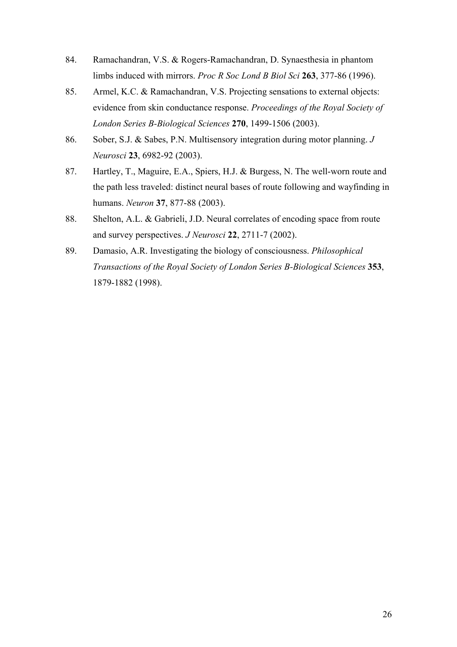- 84. Ramachandran, V.S. & Rogers-Ramachandran, D. Synaesthesia in phantom limbs induced with mirrors. *Proc R Soc Lond B Biol Sci* **263**, 377-86 (1996).
- 85. Armel, K.C. & Ramachandran, V.S. Projecting sensations to external objects: evidence from skin conductance response. *Proceedings of the Royal Society of London Series B-Biological Sciences* **270**, 1499-1506 (2003).
- 86. Sober, S.J. & Sabes, P.N. Multisensory integration during motor planning. *J Neurosci* **23**, 6982-92 (2003).
- 87. Hartley, T., Maguire, E.A., Spiers, H.J. & Burgess, N. The well-worn route and the path less traveled: distinct neural bases of route following and wayfinding in humans. *Neuron* **37**, 877-88 (2003).
- 88. Shelton, A.L. & Gabrieli, J.D. Neural correlates of encoding space from route and survey perspectives. *J Neurosci* **22**, 2711-7 (2002).
- 89. Damasio, A.R. Investigating the biology of consciousness. *Philosophical Transactions of the Royal Society of London Series B-Biological Sciences* **353**, 1879-1882 (1998).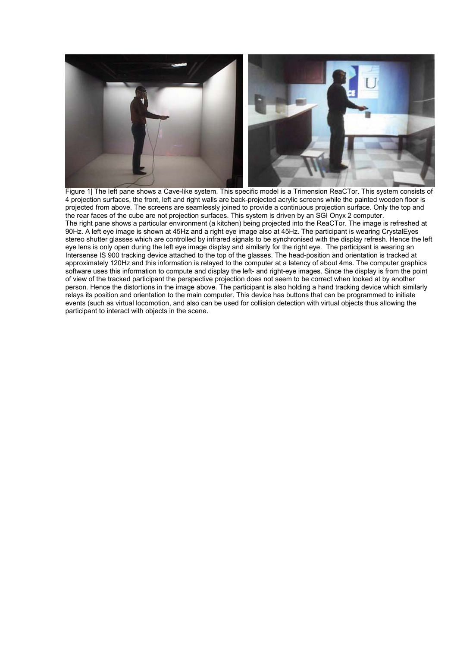

Figure 1| The left pane shows a Cave-like system. This specific model is a Trimension ReaCTor. This system consists of 4 projection surfaces, the front, left and right walls are back-projected acrylic screens while the painted wooden floor is projected from above. The screens are seamlessly joined to provide a continuous projection surface. Only the top and the rear faces of the cube are not projection surfaces. This system is driven by an SGI Onyx 2 computer. The right pane shows a particular environment (a kitchen) being projected into the ReaCTor. The image is refreshed at 90Hz. A left eye image is shown at 45Hz and a right eye image also at 45Hz. The participant is wearing CrystalEyes stereo shutter glasses which are controlled by infrared signals to be synchronised with the display refresh. Hence the left eye lens is only open during the left eye image display and similarly for the right eye. The participant is wearing an Intersense IS 900 tracking device attached to the top of the glasses. The head-position and orientation is tracked at approximately 120Hz and this information is relayed to the computer at a latency of about 4ms. The computer graphics software uses this information to compute and display the left- and right-eye images. Since the display is from the point of view of the tracked participant the perspective projection does not seem to be correct when looked at by another person. Hence the distortions in the image above. The participant is also holding a hand tracking device which similarly relays its position and orientation to the main computer. This device has buttons that can be programmed to initiate events (such as virtual locomotion, and also can be used for collision detection with virtual objects thus allowing the participant to interact with objects in the scene.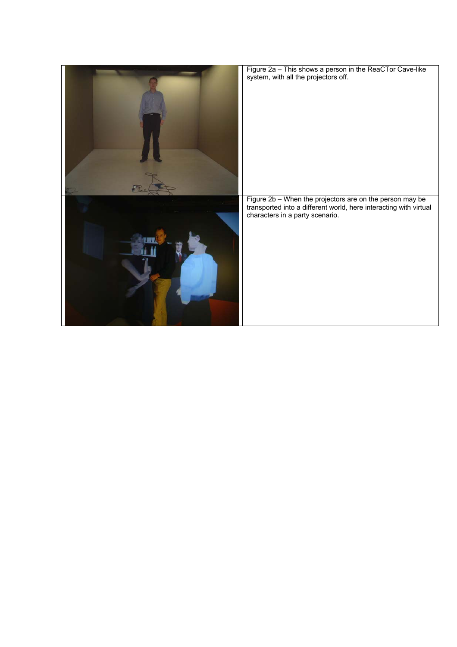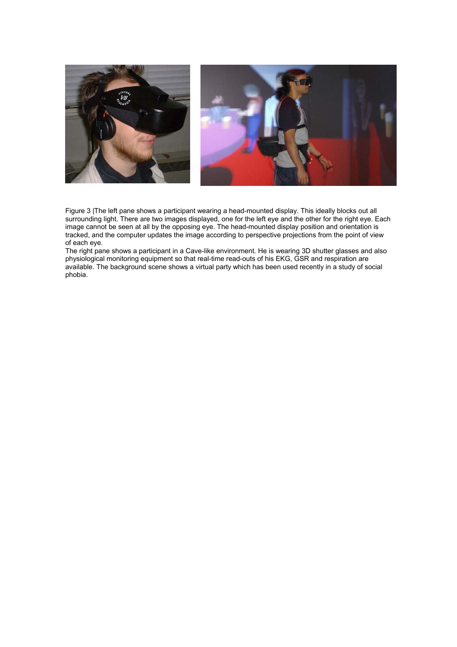

Figure 3 |The left pane shows a participant wearing a head-mounted display. This ideally blocks out all surrounding light. There are two images displayed, one for the left eye and the other for the right eye. Each image cannot be seen at all by the opposing eye. The head-mounted display position and orientation is tracked, and the computer updates the image according to perspective projections from the point of view of each eye.

The right pane shows a participant in a Cave-like environment. He is wearing 3D shutter glasses and also physiological monitoring equipment so that real-time read-outs of his EKG, GSR and respiration are available. The background scene shows a virtual party which has been used recently in a study of social phobia.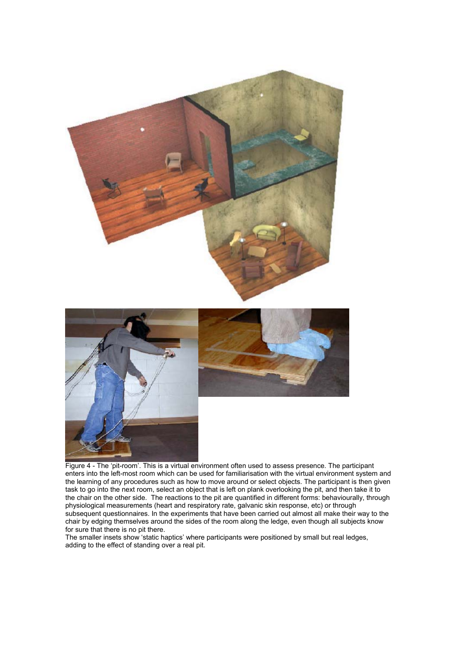

Figure 4 - The 'pit-room'. This is a virtual environment often used to assess presence. The participant enters into the left-most room which can be used for familiarisation with the virtual environment system and the learning of any procedures such as how to move around or select objects. The participant is then given task to go into the next room, select an object that is left on plank overlooking the pit, and then take it to the chair on the other side. The reactions to the pit are quantified in different forms: behaviourally, through physiological measurements (heart and respiratory rate, galvanic skin response, etc) or through subsequent questionnaires. In the experiments that have been carried out almost all make their way to the chair by edging themselves around the sides of the room along the ledge, even though all subjects know for sure that there is no pit there.

The smaller insets show 'static haptics' where participants were positioned by small but real ledges, adding to the effect of standing over a real pit.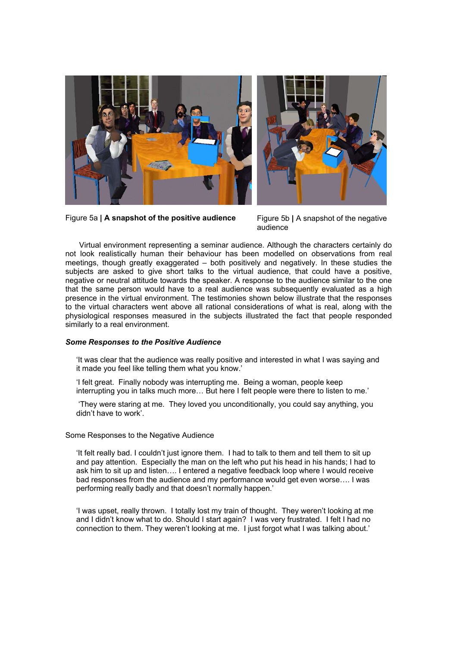

Figure 5a | A snapshot of the positive audience Figure 5b | A snapshot of the negative

audience

Virtual environment representing a seminar audience. Although the characters certainly do not look realistically human their behaviour has been modelled on observations from real meetings, though greatly exaggerated – both positively and negatively. In these studies the subjects are asked to give short talks to the virtual audience, that could have a positive, negative or neutral attitude towards the speaker. A response to the audience similar to the one that the same person would have to a real audience was subsequently evaluated as a high presence in the virtual environment. The testimonies shown below illustrate that the responses to the virtual characters went above all rational considerations of what is real, along with the physiological responses measured in the subjects illustrated the fact that people responded similarly to a real environment.

#### *Some Responses to the Positive Audience*

'It was clear that the audience was really positive and interested in what I was saying and it made you feel like telling them what you know.'

'I felt great. Finally nobody was interrupting me. Being a woman, people keep interrupting you in talks much more… But here I felt people were there to listen to me.'

 'They were staring at me. They loved you unconditionally, you could say anything, you didn't have to work'.

#### Some Responses to the Negative Audience

'It felt really bad. I couldn't just ignore them. I had to talk to them and tell them to sit up and pay attention. Especially the man on the left who put his head in his hands; I had to ask him to sit up and listen…. I entered a negative feedback loop where I would receive bad responses from the audience and my performance would get even worse…. I was performing really badly and that doesn't normally happen.'

'I was upset, really thrown. I totally lost my train of thought. They weren't looking at me and I didn't know what to do. Should I start again? I was very frustrated. I felt I had no connection to them. They weren't looking at me. I just forgot what I was talking about.'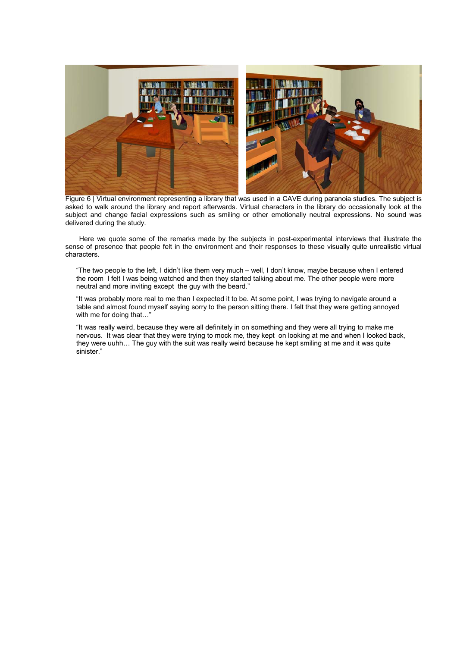

Figure 6 | Virtual environment representing a library that was used in a CAVE during paranoia studies. The subject is asked to walk around the library and report afterwards. Virtual characters in the library do occasionally look at the subject and change facial expressions such as smiling or other emotionally neutral expressions. No sound was delivered during the study.

Here we quote some of the remarks made by the subjects in post-experimental interviews that illustrate the sense of presence that people felt in the environment and their responses to these visually quite unrealistic virtual characters.

"The two people to the left, I didn't like them very much – well, I don't know, maybe because when I entered the room I felt I was being watched and then they started talking about me. The other people were more neutral and more inviting except the guy with the beard."

"It was probably more real to me than I expected it to be. At some point, I was trying to navigate around a table and almost found myself saying sorry to the person sitting there. I felt that they were getting annoyed with me for doing that…"

"It was really weird, because they were all definitely in on something and they were all trying to make me nervous. It was clear that they were trying to mock me, they kept on looking at me and when I looked back, they were uuhh… The guy with the suit was really weird because he kept smiling at me and it was quite sinister."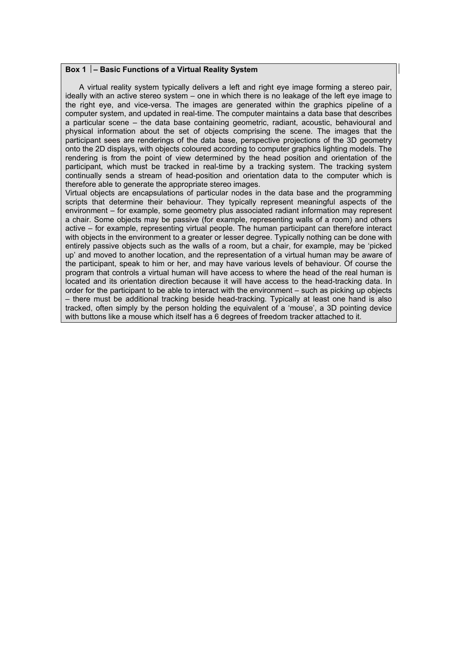#### **Box 1 – Basic Functions of a Virtual Reality System**

A virtual reality system typically delivers a left and right eye image forming a stereo pair, ideally with an active stereo system – one in which there is no leakage of the left eye image to the right eye, and vice-versa. The images are generated within the graphics pipeline of a computer system, and updated in real-time. The computer maintains a data base that describes a particular scene – the data base containing geometric, radiant, acoustic, behavioural and physical information about the set of objects comprising the scene. The images that the participant sees are renderings of the data base, perspective projections of the 3D geometry onto the 2D displays, with objects coloured according to computer graphics lighting models. The rendering is from the point of view determined by the head position and orientation of the participant, which must be tracked in real-time by a tracking system. The tracking system continually sends a stream of head-position and orientation data to the computer which is therefore able to generate the appropriate stereo images.

Virtual objects are encapsulations of particular nodes in the data base and the programming scripts that determine their behaviour. They typically represent meaningful aspects of the environment – for example, some geometry plus associated radiant information may represent a chair. Some objects may be passive (for example, representing walls of a room) and others active – for example, representing virtual people. The human participant can therefore interact with objects in the environment to a greater or lesser degree. Typically nothing can be done with entirely passive objects such as the walls of a room, but a chair, for example, may be 'picked up' and moved to another location, and the representation of a virtual human may be aware of the participant, speak to him or her, and may have various levels of behaviour. Of course the program that controls a virtual human will have access to where the head of the real human is located and its orientation direction because it will have access to the head-tracking data. In order for the participant to be able to interact with the environment – such as picking up objects – there must be additional tracking beside head-tracking. Typically at least one hand is also tracked, often simply by the person holding the equivalent of a 'mouse', a 3D pointing device with buttons like a mouse which itself has a 6 degrees of freedom tracker attached to it.